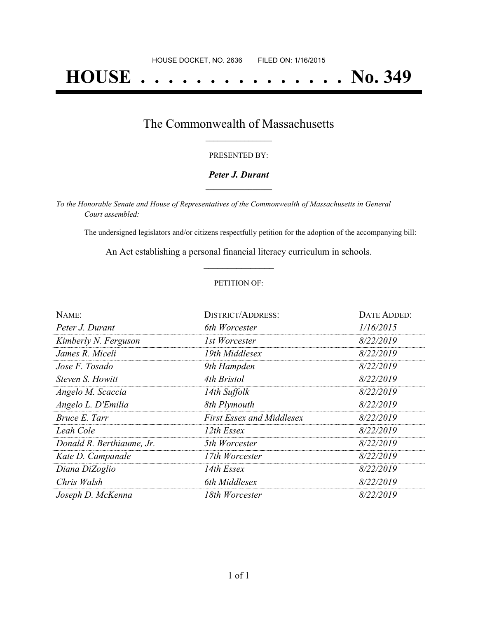# **HOUSE . . . . . . . . . . . . . . . No. 349**

### The Commonwealth of Massachusetts **\_\_\_\_\_\_\_\_\_\_\_\_\_\_\_\_\_**

#### PRESENTED BY:

#### *Peter J. Durant* **\_\_\_\_\_\_\_\_\_\_\_\_\_\_\_\_\_**

*To the Honorable Senate and House of Representatives of the Commonwealth of Massachusetts in General Court assembled:*

The undersigned legislators and/or citizens respectfully petition for the adoption of the accompanying bill:

An Act establishing a personal financial literacy curriculum in schools. **\_\_\_\_\_\_\_\_\_\_\_\_\_\_\_**

#### PETITION OF:

| NAME:                     | <b>DISTRICT/ADDRESS:</b>         | DATE ADDED: |
|---------------------------|----------------------------------|-------------|
| Peter J. Durant           | 6th Worcester                    | 1/16/2015   |
| Kimberly N. Ferguson      | 1st Worcester                    | 8/22/2019   |
| James R. Miceli           | 19th Middlesex                   | 8/22/2019   |
| Jose F. Tosado            | 9th Hampden                      | 8/22/2019   |
| Steven S. Howitt          | 4th Bristol                      | 8/22/2019   |
| Angelo M. Scaccia         | 14th Suffolk                     | 8/22/2019   |
| Angelo L. D'Emilia        | 8th Plymouth                     | 8/22/2019   |
| Bruce E. Tarr             | <b>First Essex and Middlesex</b> | 8/22/2019   |
| Leah Cole                 | 12th Essex                       | 8/22/2019   |
| Donald R. Berthiaume, Jr. | 5th Worcester                    | 8/22/2019   |
| Kate D. Campanale         | 17th Worcester                   | 8/22/2019   |
| Diana DiZoglio            | 14th Essex                       | 8/22/2019   |
| Chris Walsh               | 6th Middlesex                    | 8/22/2019   |
| Joseph D. McKenna         | 18th Worcester                   | 8/22/2019   |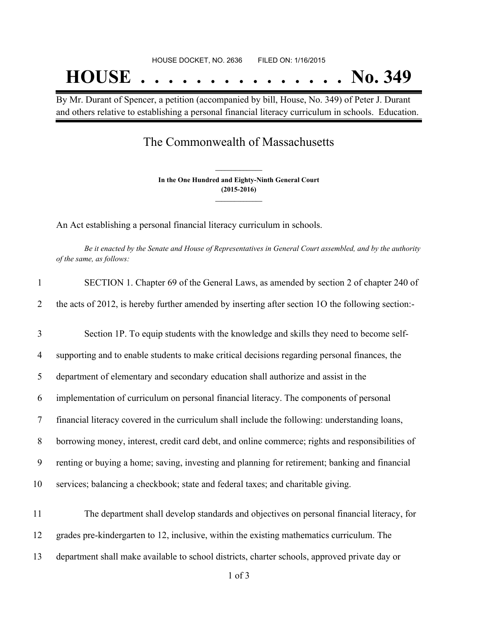By Mr. Durant of Spencer, a petition (accompanied by bill, House, No. 349) of Peter J. Durant and others relative to establishing a personal financial literacy curriculum in schools. Education.

## The Commonwealth of Massachusetts

**In the One Hundred and Eighty-Ninth General Court (2015-2016) \_\_\_\_\_\_\_\_\_\_\_\_\_\_\_**

**\_\_\_\_\_\_\_\_\_\_\_\_\_\_\_**

An Act establishing a personal financial literacy curriculum in schools.

Be it enacted by the Senate and House of Representatives in General Court assembled, and by the authority *of the same, as follows:*

| $\mathbf{1}$ | SECTION 1. Chapter 69 of the General Laws, as amended by section 2 of chapter 240 of              |  |
|--------------|---------------------------------------------------------------------------------------------------|--|
| 2            | the acts of 2012, is hereby further amended by inserting after section 1O the following section:- |  |
| 3            | Section 1P. To equip students with the knowledge and skills they need to become self-             |  |
| 4            | supporting and to enable students to make critical decisions regarding personal finances, the     |  |
| 5            | department of elementary and secondary education shall authorize and assist in the                |  |
| 6            | implementation of curriculum on personal financial literacy. The components of personal           |  |
| 7            | financial literacy covered in the curriculum shall include the following: understanding loans,    |  |
| 8            | borrowing money, interest, credit card debt, and online commerce; rights and responsibilities of  |  |
| 9            | renting or buying a home; saving, investing and planning for retirement; banking and financial    |  |
| 10           | services; balancing a checkbook; state and federal taxes; and charitable giving.                  |  |
| 11           | The department shall develop standards and objectives on personal financial literacy, for         |  |
| 12           | grades pre-kindergarten to 12, inclusive, within the existing mathematics curriculum. The         |  |
| 13           | department shall make available to school districts, charter schools, approved private day or     |  |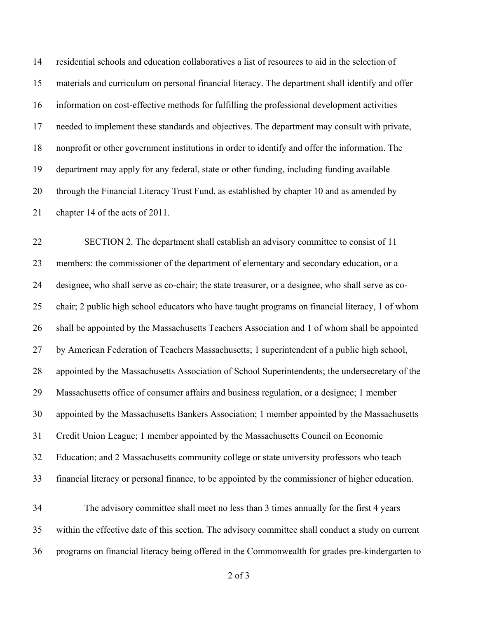residential schools and education collaboratives a list of resources to aid in the selection of materials and curriculum on personal financial literacy. The department shall identify and offer information on cost-effective methods for fulfilling the professional development activities needed to implement these standards and objectives. The department may consult with private, nonprofit or other government institutions in order to identify and offer the information. The department may apply for any federal, state or other funding, including funding available through the Financial Literacy Trust Fund, as established by chapter 10 and as amended by chapter 14 of the acts of 2011.

 SECTION 2. The department shall establish an advisory committee to consist of 11 members: the commissioner of the department of elementary and secondary education, or a designee, who shall serve as co-chair; the state treasurer, or a designee, who shall serve as co- chair; 2 public high school educators who have taught programs on financial literacy, 1 of whom shall be appointed by the Massachusetts Teachers Association and 1 of whom shall be appointed by American Federation of Teachers Massachusetts; 1 superintendent of a public high school, appointed by the Massachusetts Association of School Superintendents; the undersecretary of the Massachusetts office of consumer affairs and business regulation, or a designee; 1 member appointed by the Massachusetts Bankers Association; 1 member appointed by the Massachusetts Credit Union League; 1 member appointed by the Massachusetts Council on Economic Education; and 2 Massachusetts community college or state university professors who teach financial literacy or personal finance, to be appointed by the commissioner of higher education.

 The advisory committee shall meet no less than 3 times annually for the first 4 years within the effective date of this section. The advisory committee shall conduct a study on current programs on financial literacy being offered in the Commonwealth for grades pre-kindergarten to

of 3